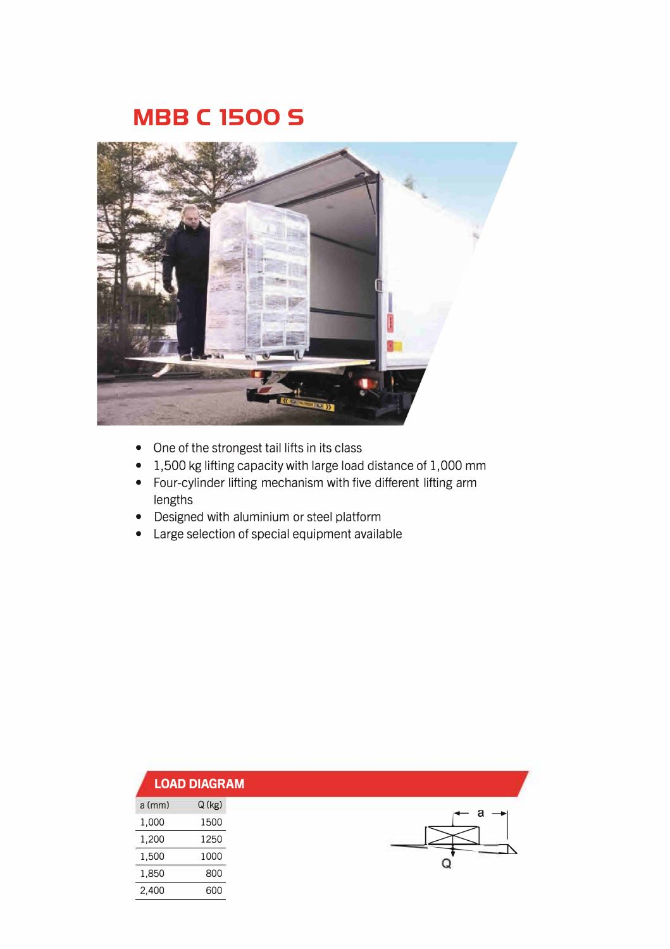## **MBB C 1500 S**



- One of the strongest tail lifts in its class
- 1,500 kg lifting capacity with large load distance of 1,000 mm
- Four-cylinder lifting mechanism with five different lifting arm lengths
- Designed with aluminium or steel platform
- Large selection of special equipment available

|          | <b>LOAD DIAGRAM</b> |
|----------|---------------------|
| $a$ (mm) | Q (kg)              |
| 1,000    | 1500                |
| 1,200    | 1250                |
| 1,500    | 1000                |
| 1,850    | 800                 |
| 2,400    | 600                 |